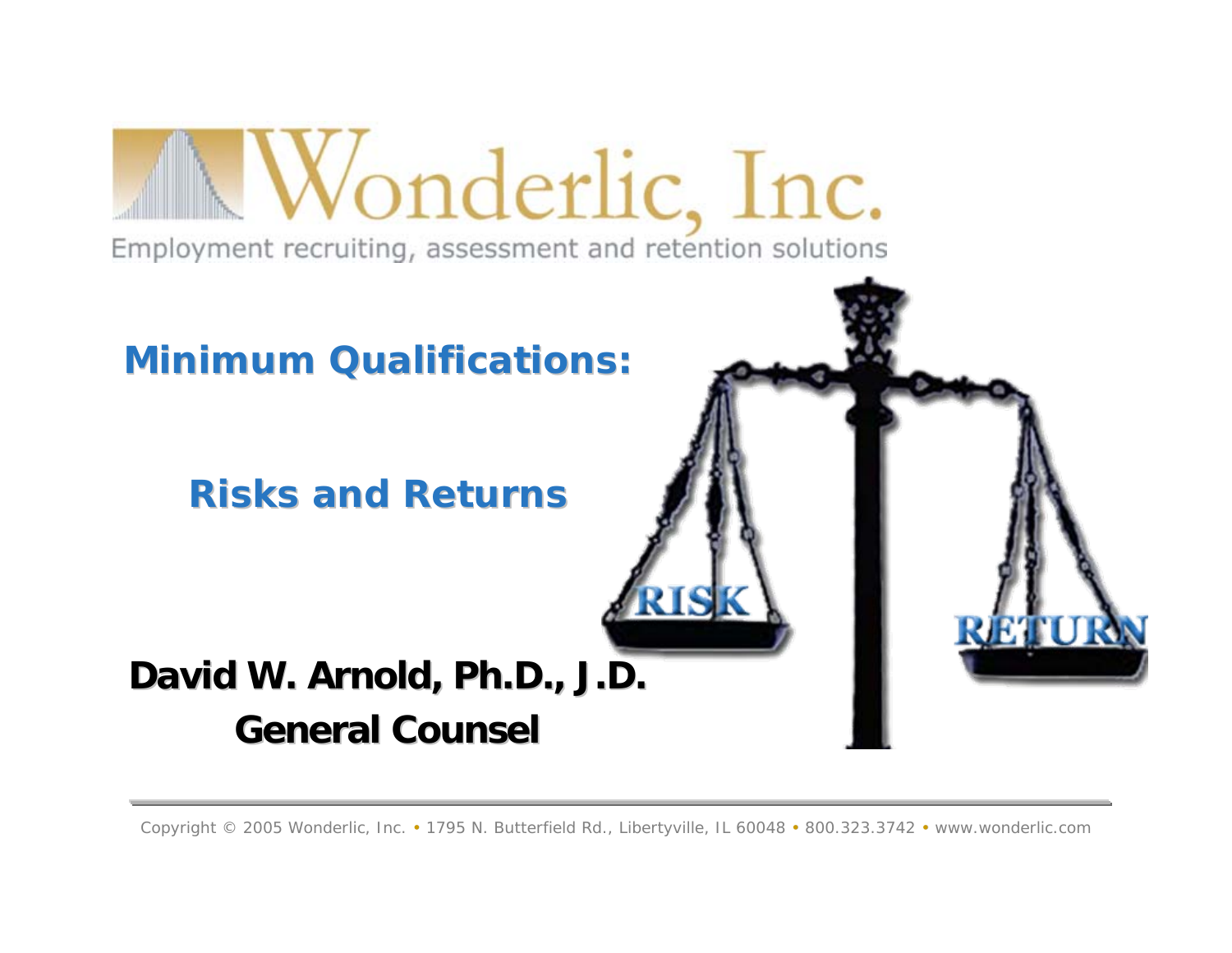

#### *Minimum Qualifications: Minimum Qualifications:*

#### *Risks and Returns Risks and Returns*

# David W. Arnold, Ph.D., J.D. **General Counsel General Counsel**

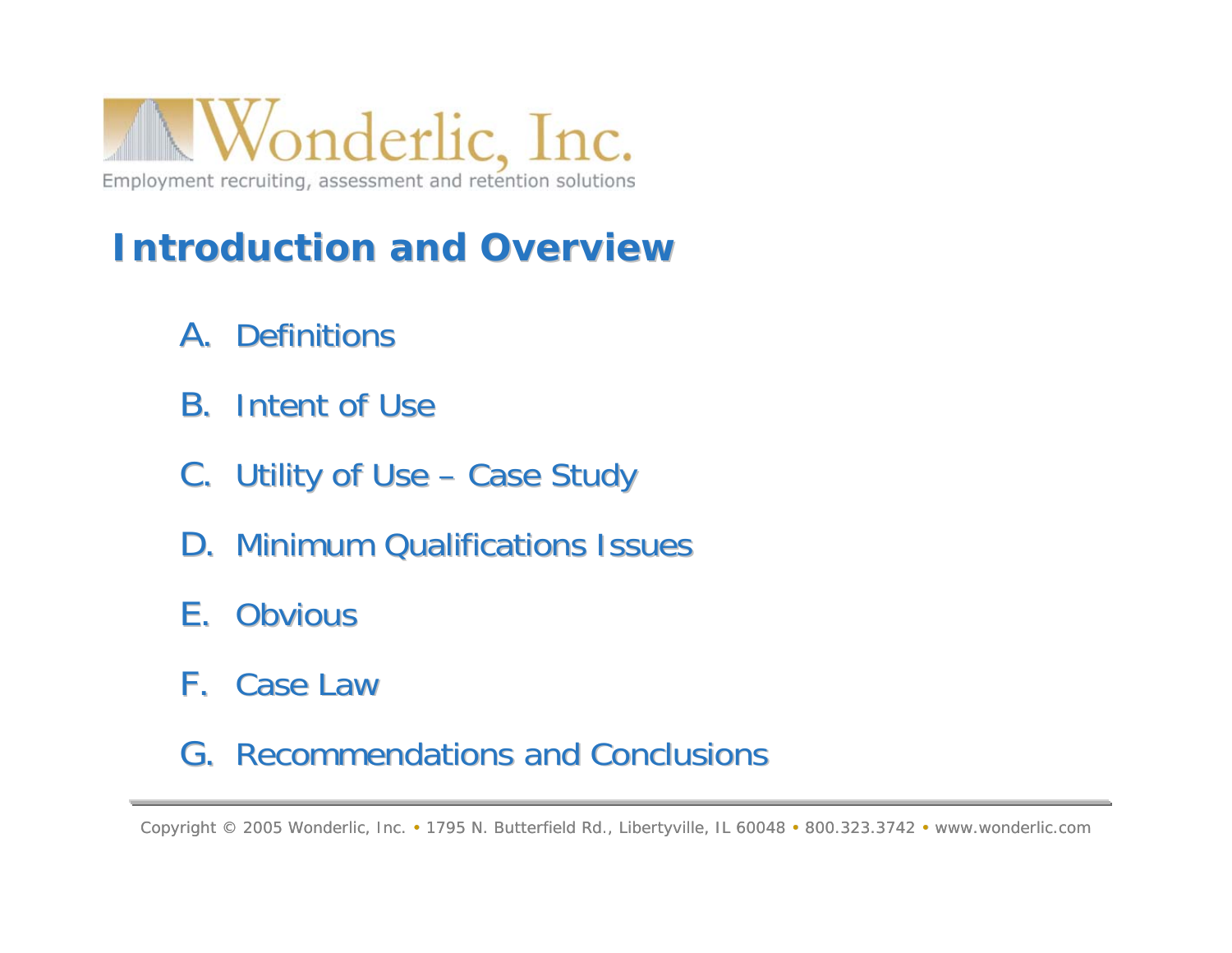

## **Introduction and Overview Introduction and Overview**

- A. Definitions
- **B.** Intent of Use
- C. Utility of Use Case Study
- **D. Minimum Qualifications Issues**
- E. Obvious
- F. Case Law

#### G. Recommendations and Conclusions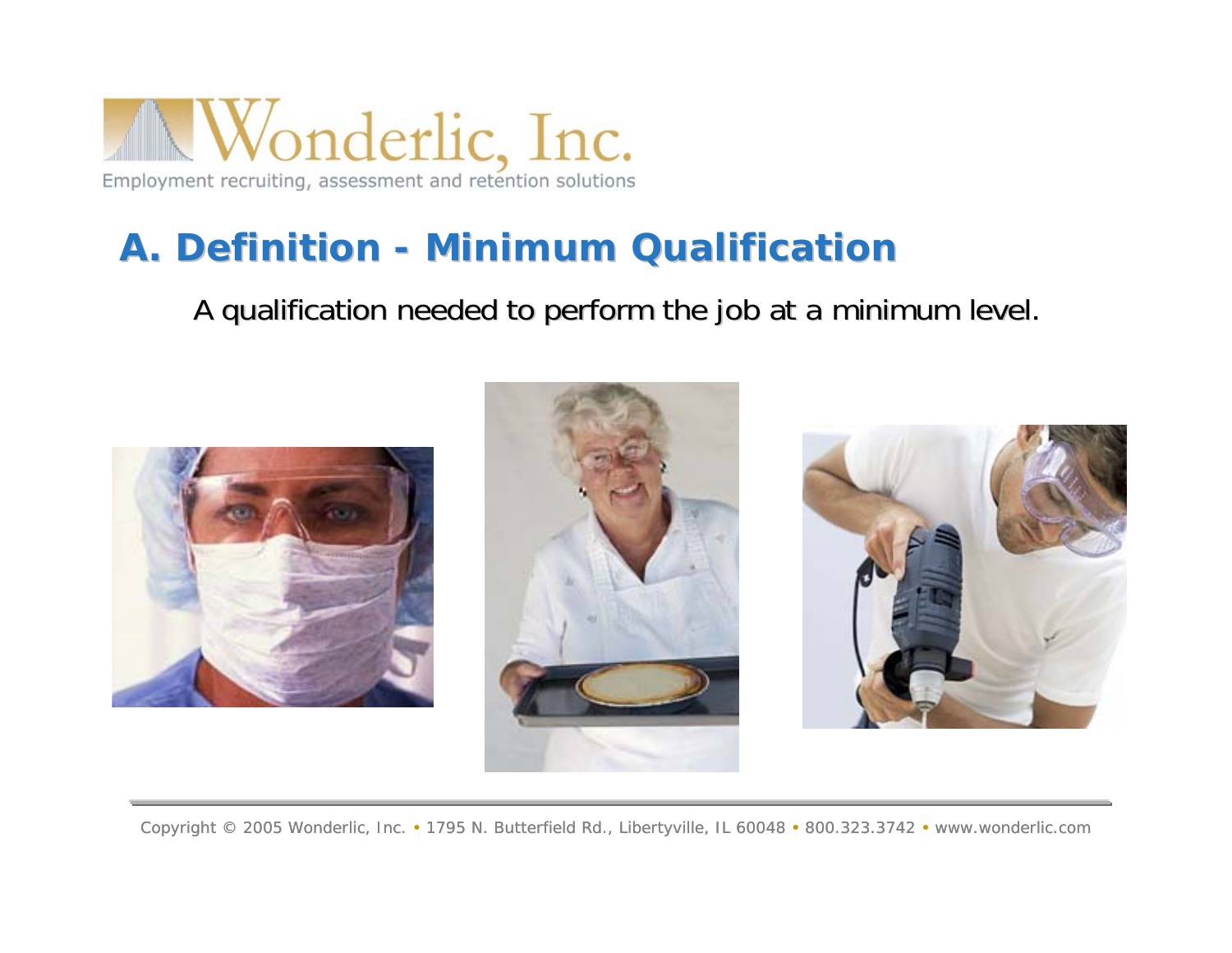

### **A.** Definition - Minimum Qualification

A qualification needed to perform the job at a minimum level. A qualification needed to perform the job at a minimum level.





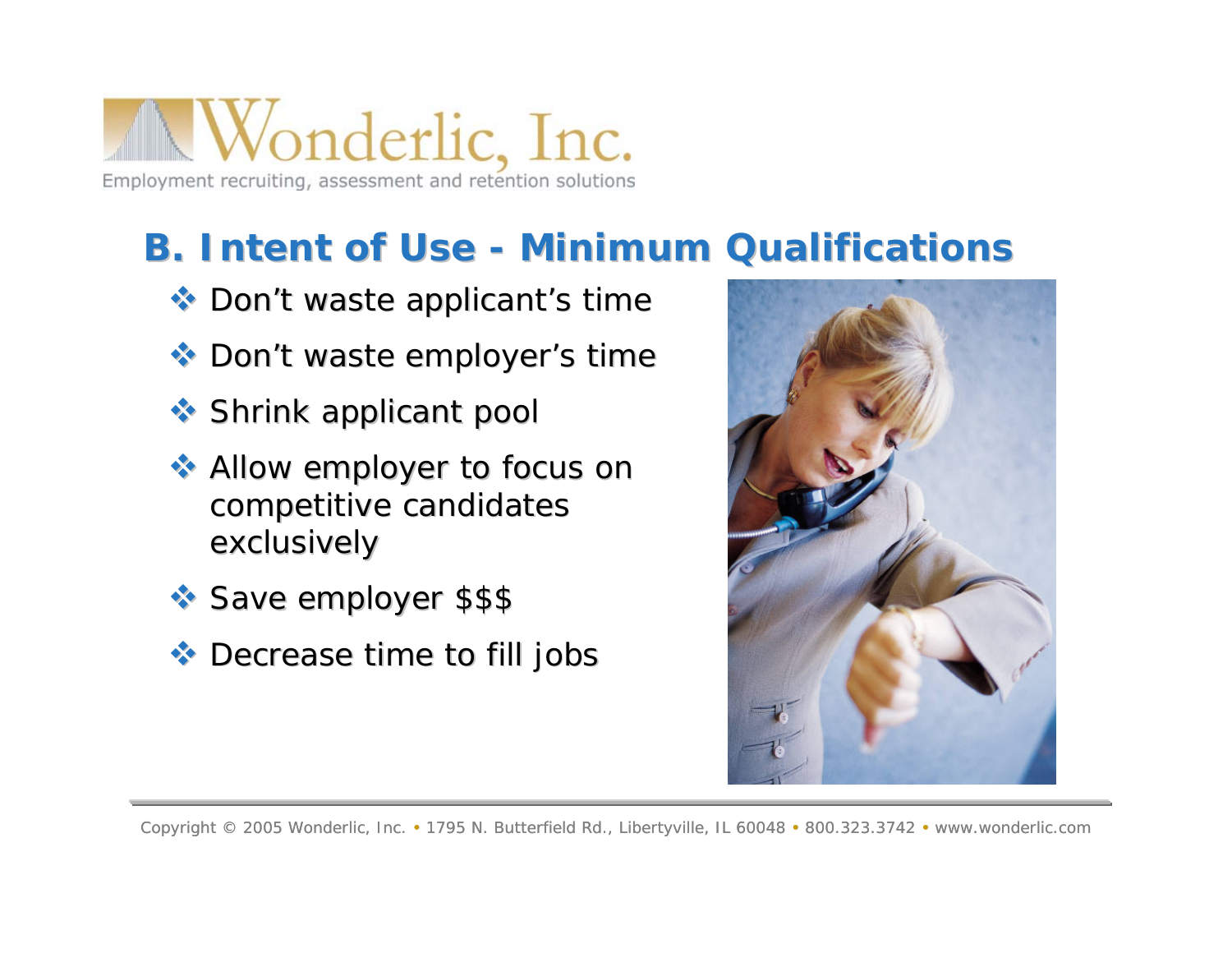

### **B. Intent of Use - Minimum Qualifications**

- Don't waste applicant's time
- Don't waste employer's time
- Shrink applicant pool Shrink applicant pool
- $\leftrightarrow$  Allow employer to focus on competitive candidates exclusively
- Save employer \$\$\$ Save employer \$\$\$
- $\triangleleft$  Decrease time to fill jobs

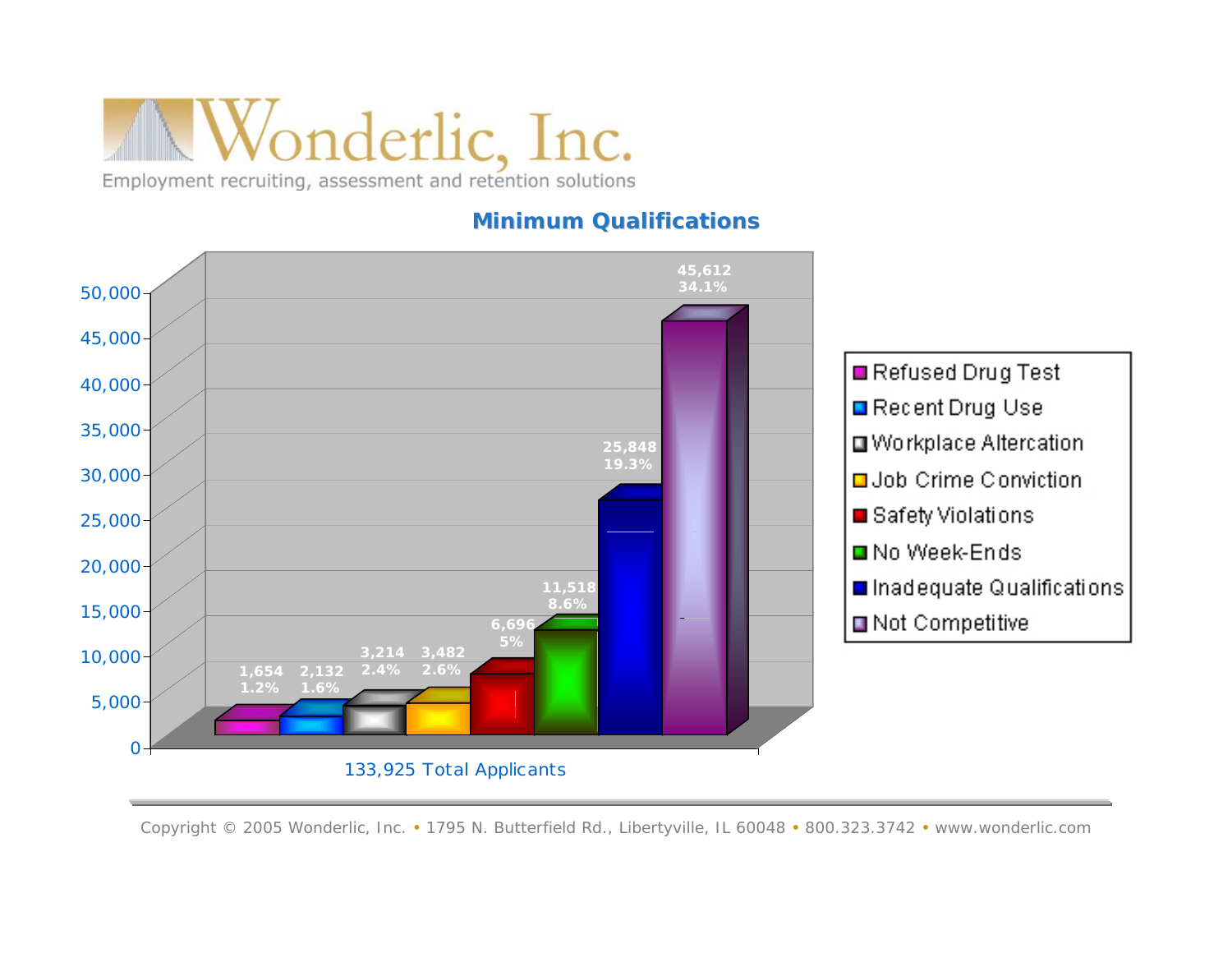#### **Minimum Qualifications Minimum Qualifications**

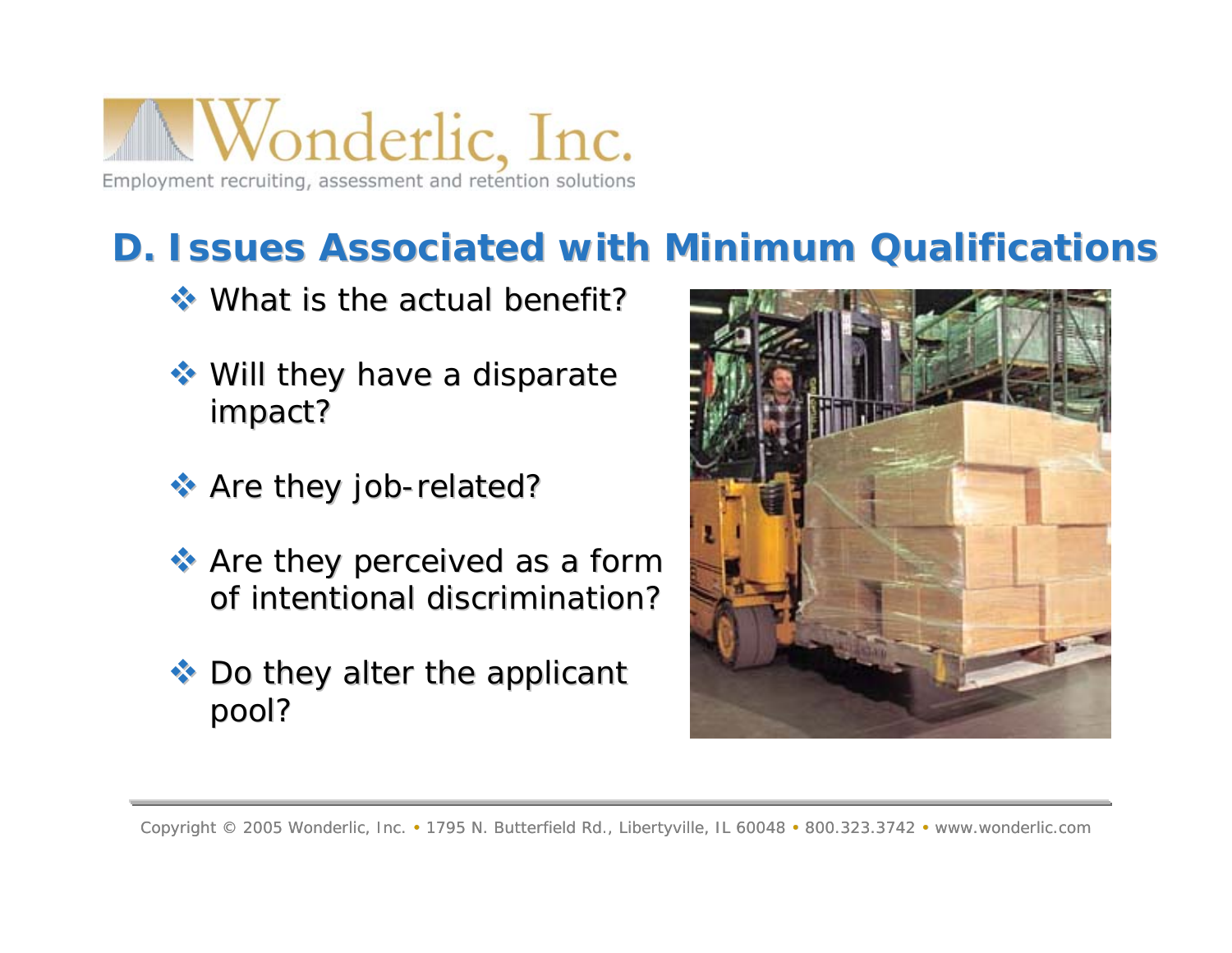

### **D. Issues Associated with Minimum Qualifications Issues Associated with Minimum Qualifications**

- What is the actual benefit? What is the actual benefit?
- $\leftrightarrow$  Will they have a disparate impact?
- \* Are they job-related?
- $\leftrightarrow$  Are they perceived as a form of intentional discrimination?
- $\bullet$  Do they alter the applicant pool?

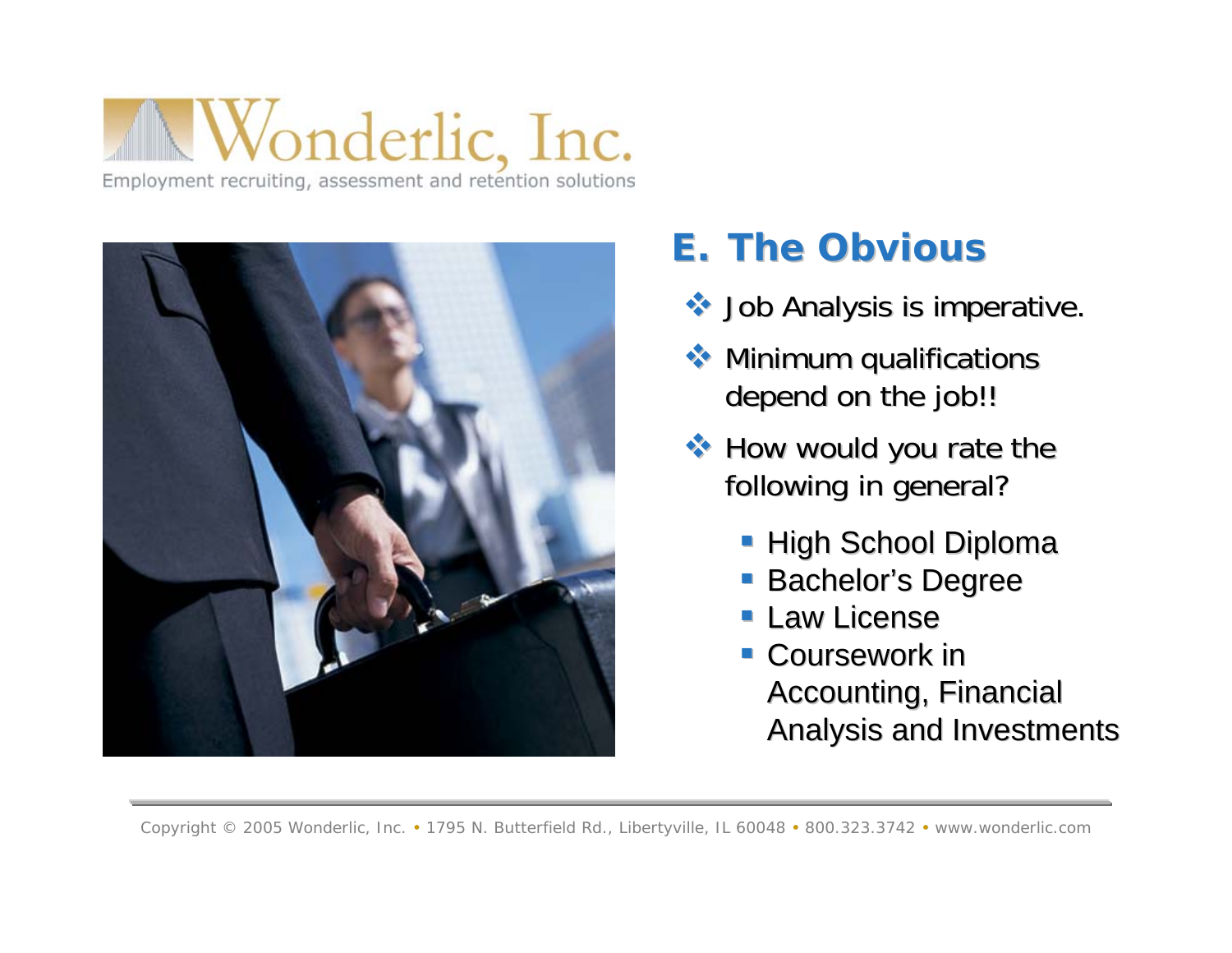

### **E. The Obvious The Obvious**

- Job Analysis is imperative. Job Analysis is imperative.
- $\leftrightarrow$  Minimum qualifications depend on the job!!
- $\leftrightarrow$  How would you rate the following in general?
	- **High School Diploma**
	- **Bachelor's Degree Bachelor's**
	- **Law License**
	- **Coursework in** Accounting, Financial Analysis and Investments Analysis and Investments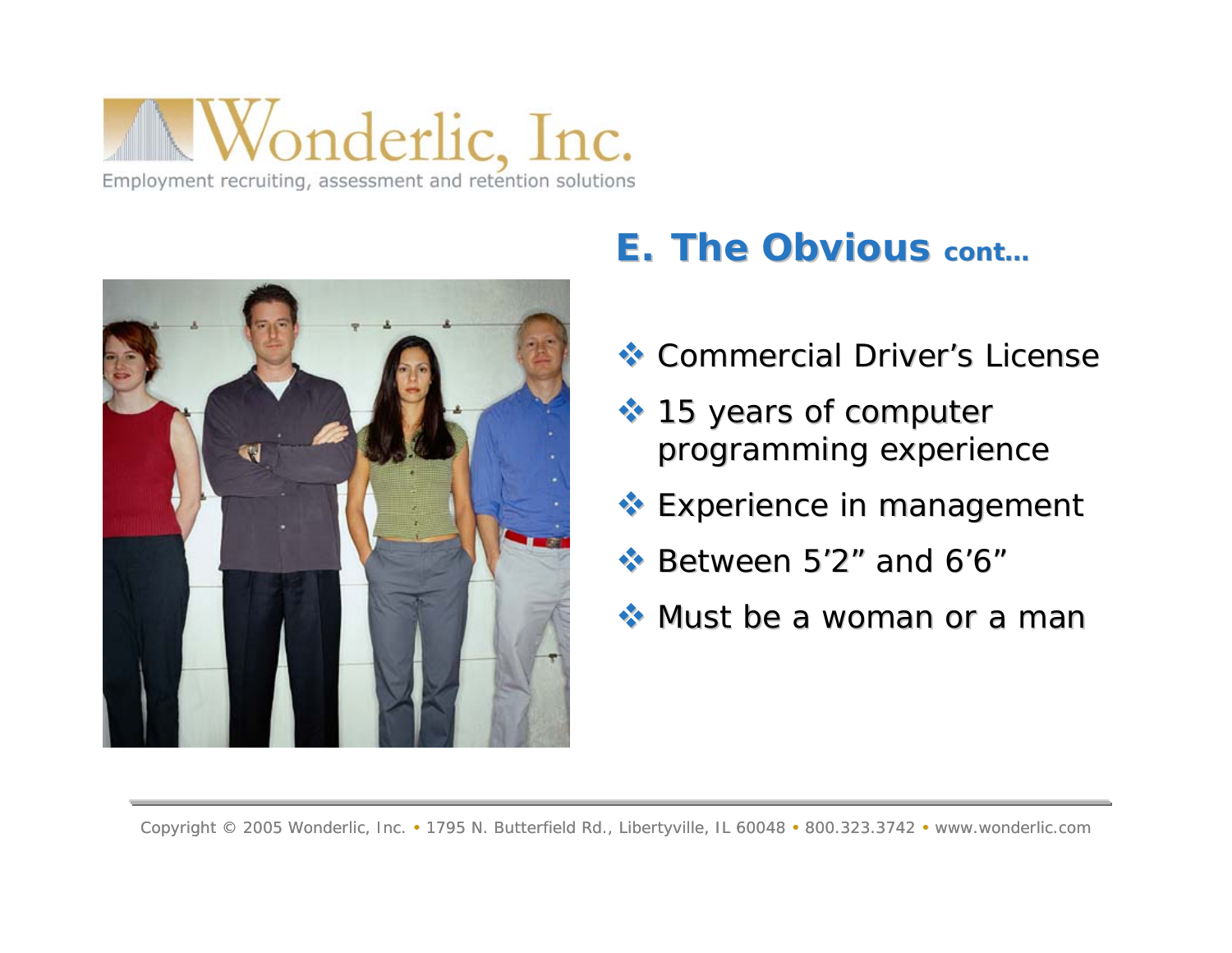

### **E. The Obvious cont...**

- Commercial Driver's License
- **↑ 15 years of computer** programming experience
- Experience in management Experience in management
- $\cdot$  Between 5'2" and 6'6"
- $\leftrightarrow$  Must be a woman or a man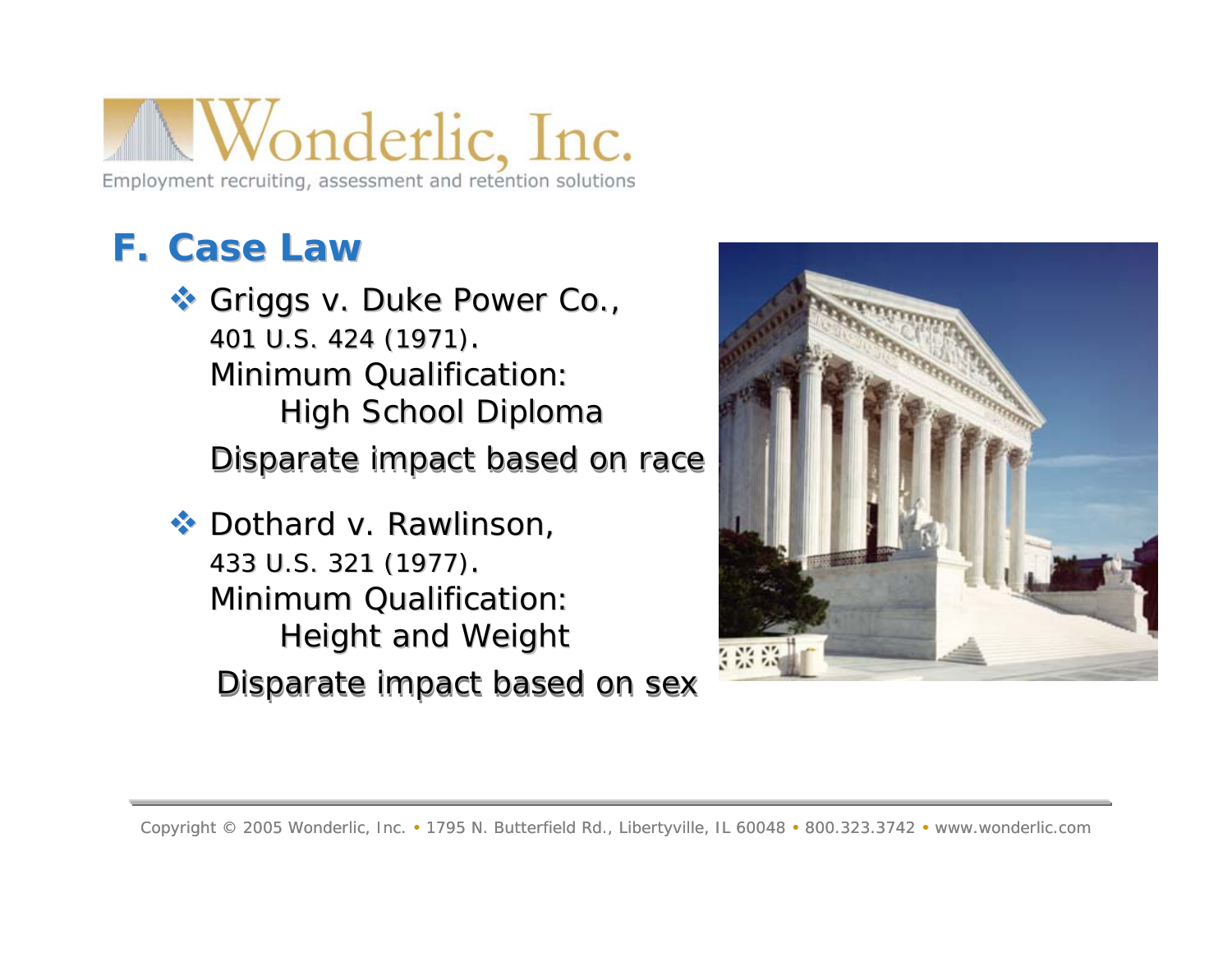### **F. Case Law Case Law**

**Griggs v. Duke Power Co.,** 401 U.S. 424 (1971). Minimum Qualification: High School Diploma Disparate impact based on race

 $\cdot$  *Dothard v. Rawlinson* 433 U.S. 321 (1977) 433 U.S. 321 (1977). Minimum Qualification: Height and Weight Disparate impact based on sex

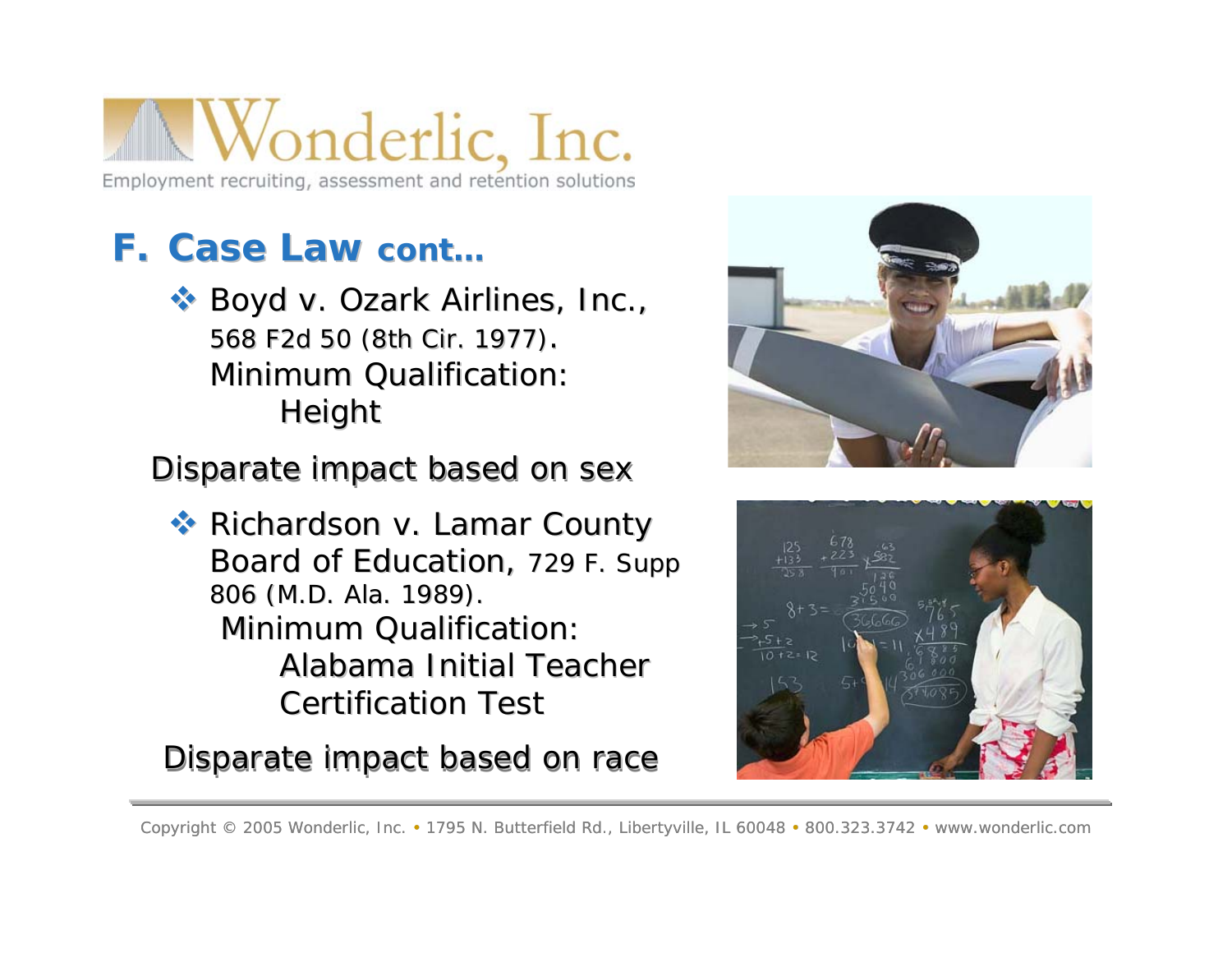### **F. Case Law Case Law cont…**

 *Boyd v. Ozark Airlines, Inc., Boyd v. Ozark Airlines, Inc.,* 568 F2d 50 (8th Cir. 1977) 568 F2d 50 (8th Cir. 1977). Minimum Qualification: Height

Disparate impact based on sex

 *Richardson v. Lamar County Richardson v. Lamar County Board of Education Board of Education*, 729 F. Supp 729 F. Supp 806 (M.D. Ala. 1989). **Minimum Qualification:** Alabama Initial Teacher Certification Test

Disparate impact based on race



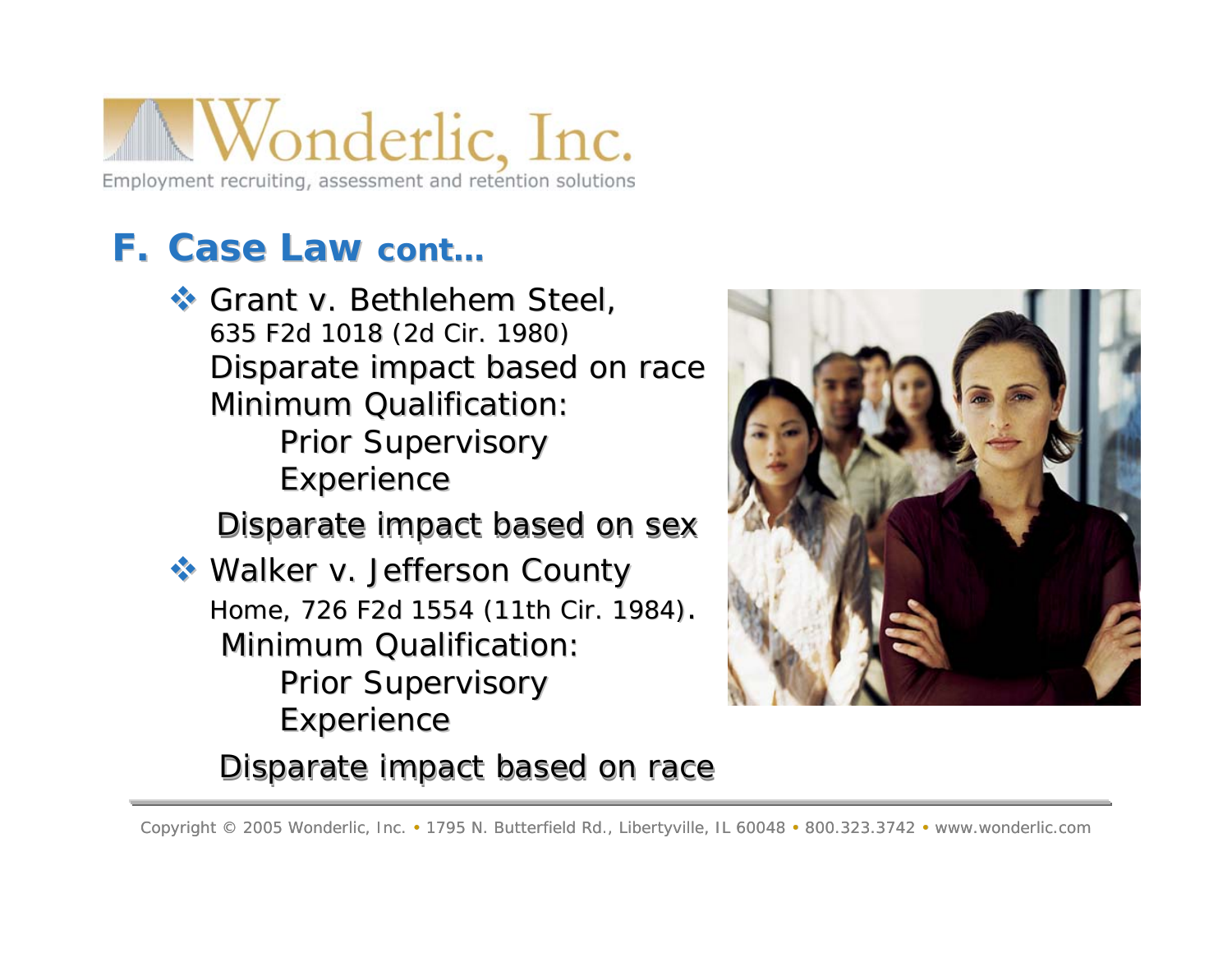### **F. Case Law Case Law cont…**

 *Grant v. Bethlehem Steel Grant v. Bethlehem Steel*, 635 F2d 1018 (2d Cir. 1980) 635 F2d 1018 (2d Cir. 1980) Disparate impact based on race Minimum Qualification: Prior Supervisory

**Experience** 

#### Disparate impact based on sex

 *Walker v. Jefferson County Walker v. Jefferson County Home,* 726 F2d 1554 (11th Cir. 1984). Minimum Qualification: Prior Supervisory **Experience** 



#### Disparate impact based on race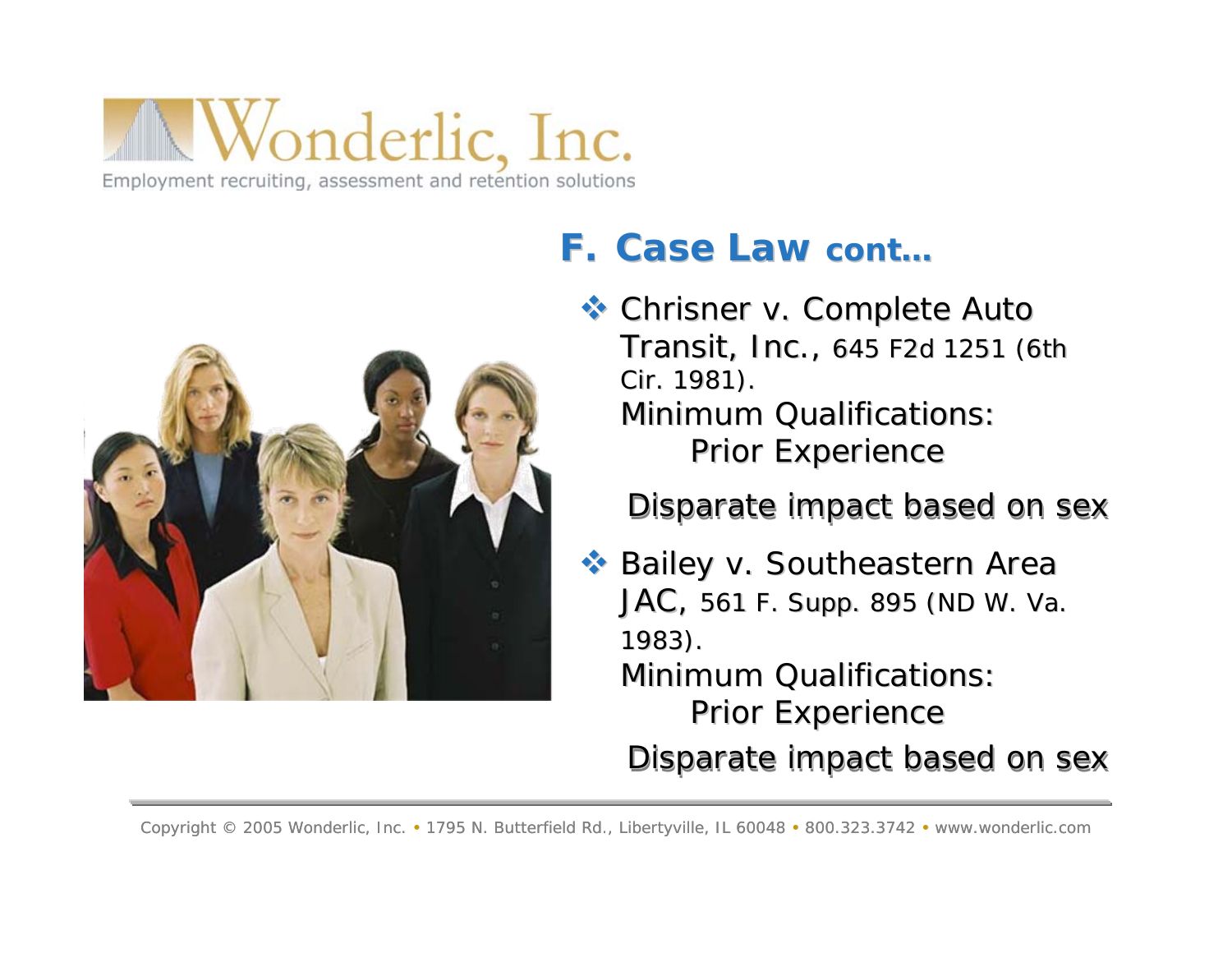

### **F. Case Law Case Law cont…**

 *Chrisner v. Complete Auto Chrisner v. Complete Auto Transit, Inc.*, 645 F2d 1251 (6th Cir. 1981). Minimum Qualifications: Prior Experience

Disparate impact based on sex

 *Bailey v. Southeastern Area Bailey v. Southeastern Area JAC*, 561 F. Supp. 895 (ND W. Va. 1983).

Minimum Qualifications: Prior Experience

Disparate impact based on sex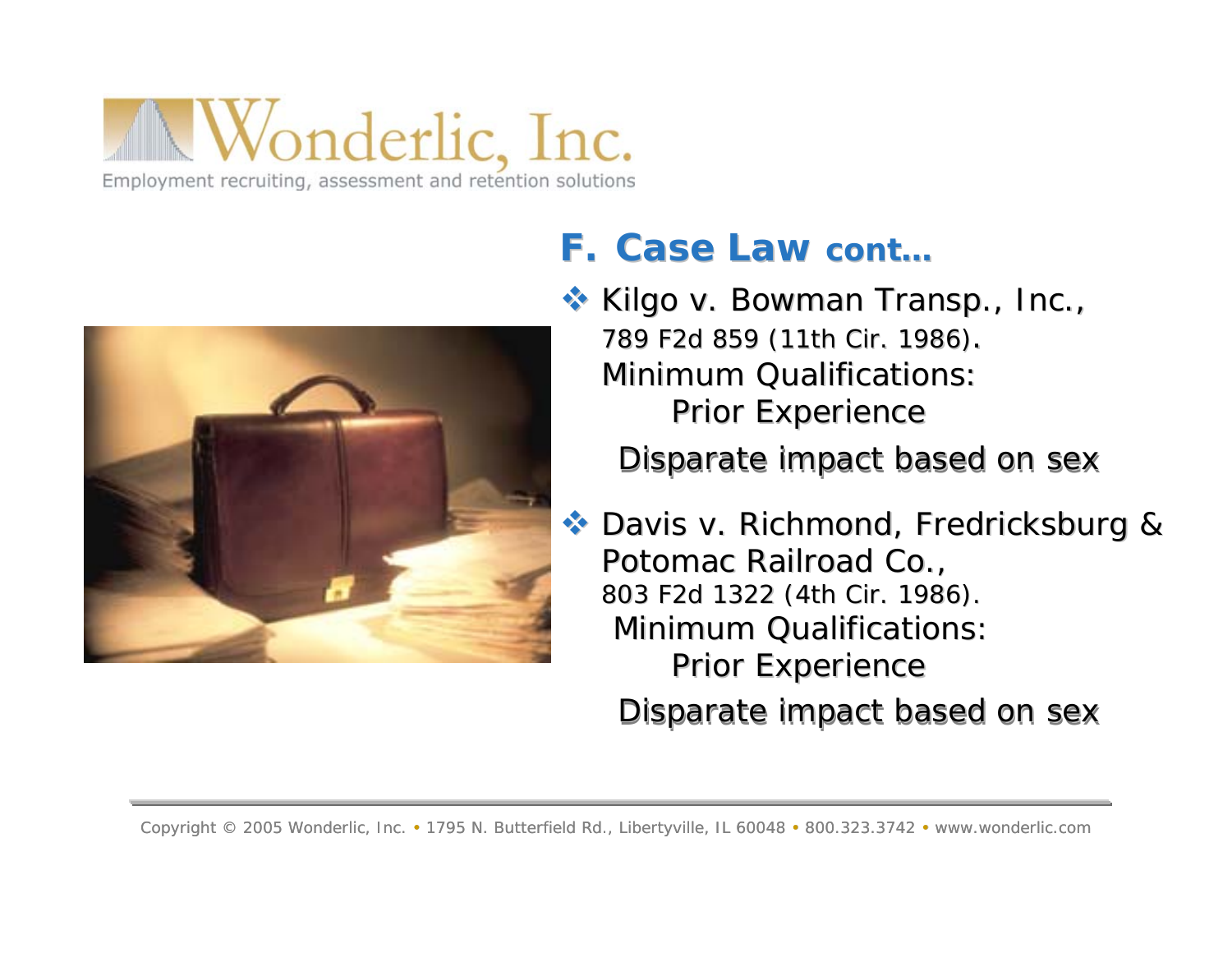

### **F. Case Law Case Law cont…**

 *Kilgo v. Bowman Transp., Inc., Kilgo v. Bowman Transp., Inc.,* 789 F2d 859 (11th Cir. 1986). Minimum Qualifications: Prior Experience

Disparate impact based on sex

 *Davis v. Richmond, Fredricksburg & Davis v. Richmond, Fredricksburg & Potomac Railroad Co., Potomac Railroad Co.,* 803 F2d 1322 (4th Cir. 1986). 803 F2d 1322 (4th Cir. 1986). Minimum Qualifications: Prior Experience Disparate impact based on sex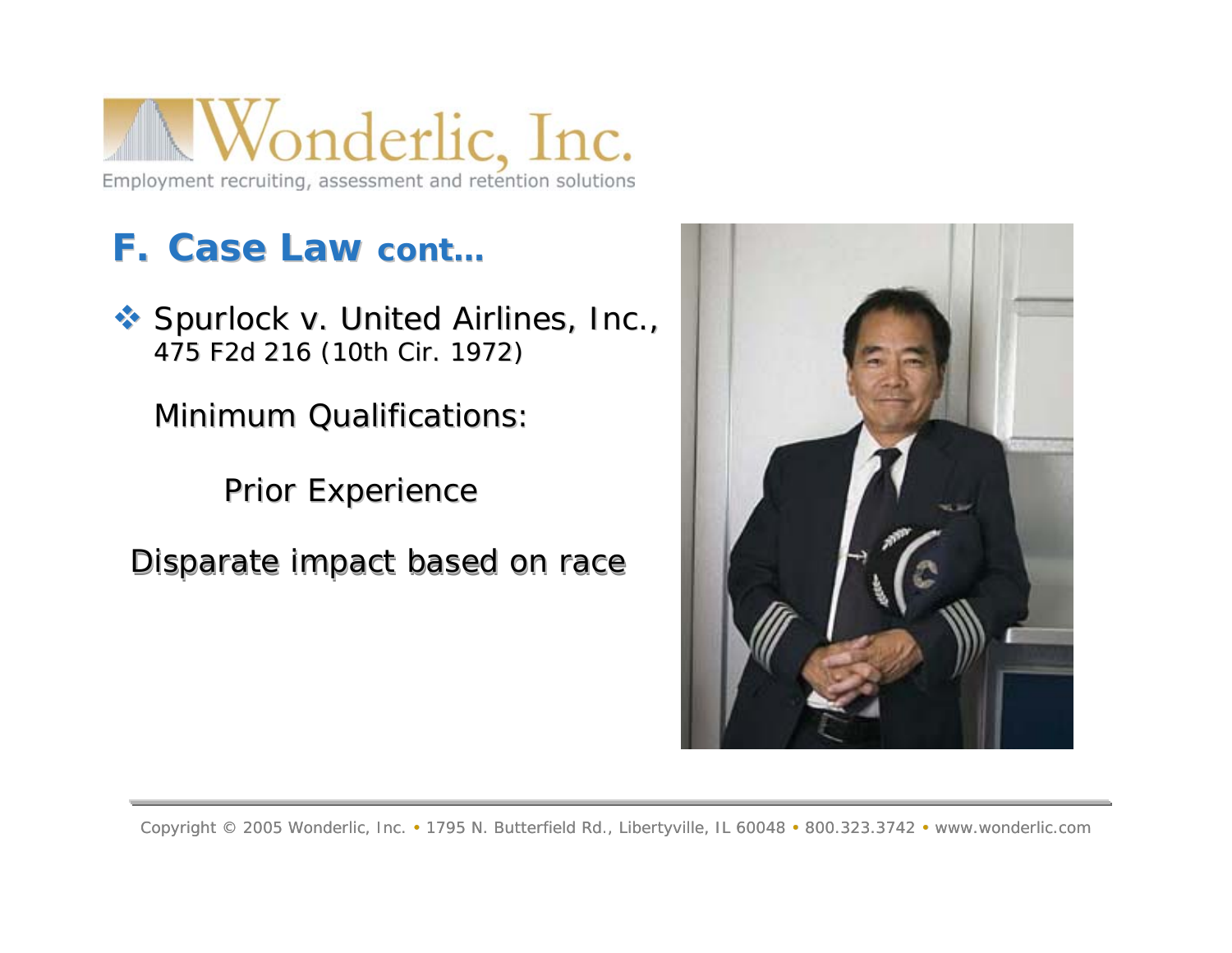

### **F. Case Law Case Law cont…**

 *Spurlock v. United Airlines, Inc., Spurlock v. United Airlines, Inc.,* 475 F2d 216 (10th Cir. 1972) 475 F2d 216 (10th Cir. 1972)

Minimum Qualifications:

Prior Experience

Disparate impact based on race

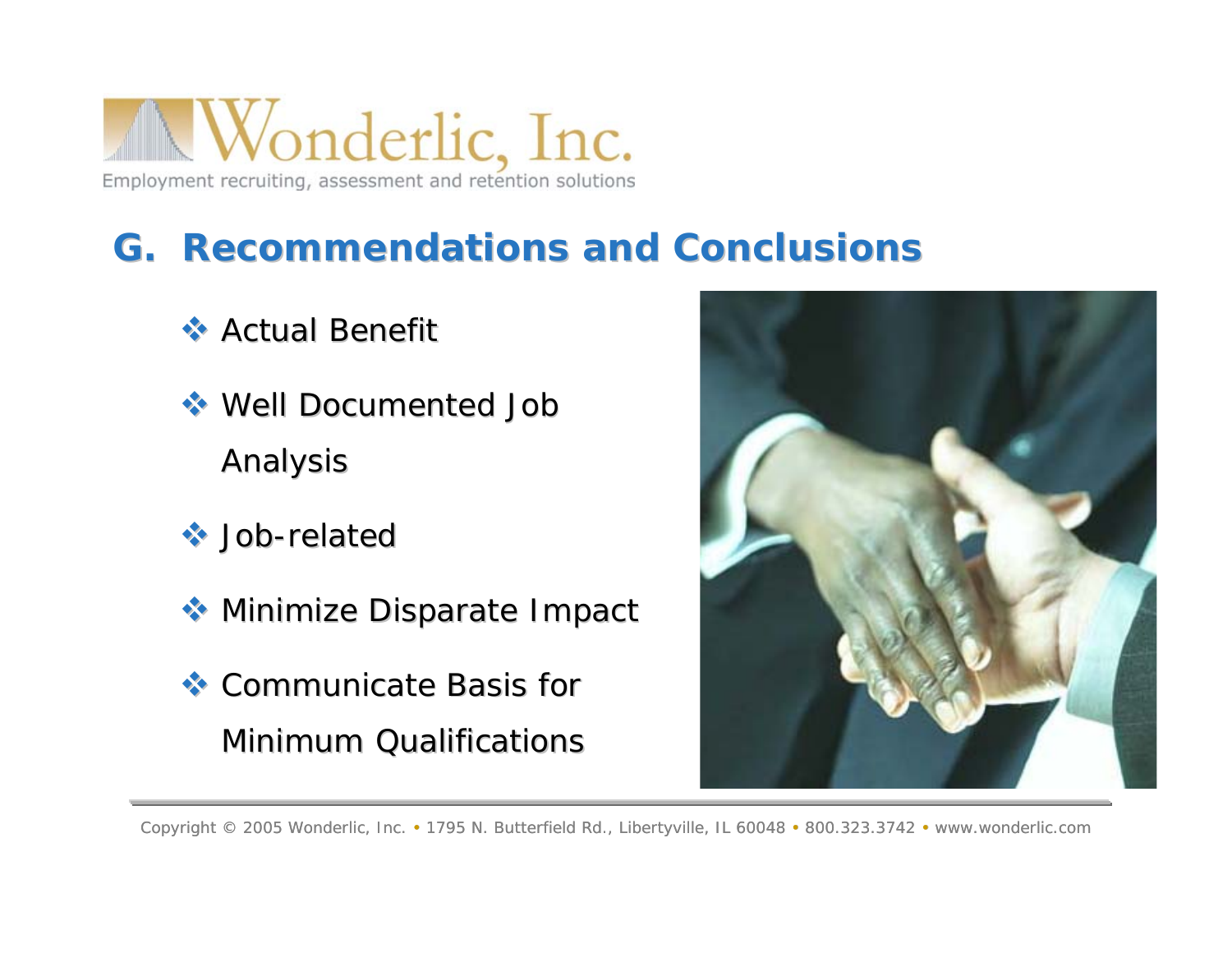

### **G. Recommendations and Conclusions G. Recommendations and Conclusions**

- Actual Benefit Actual Benefit
- Well Documented Job Well Documented Job Analysis
- $\leftrightarrow$  Job-related
- Minimize Disparate Impact Minimize Disparate Impact
- Communicate Basis for Communicate Basis for Minimum Qualifications

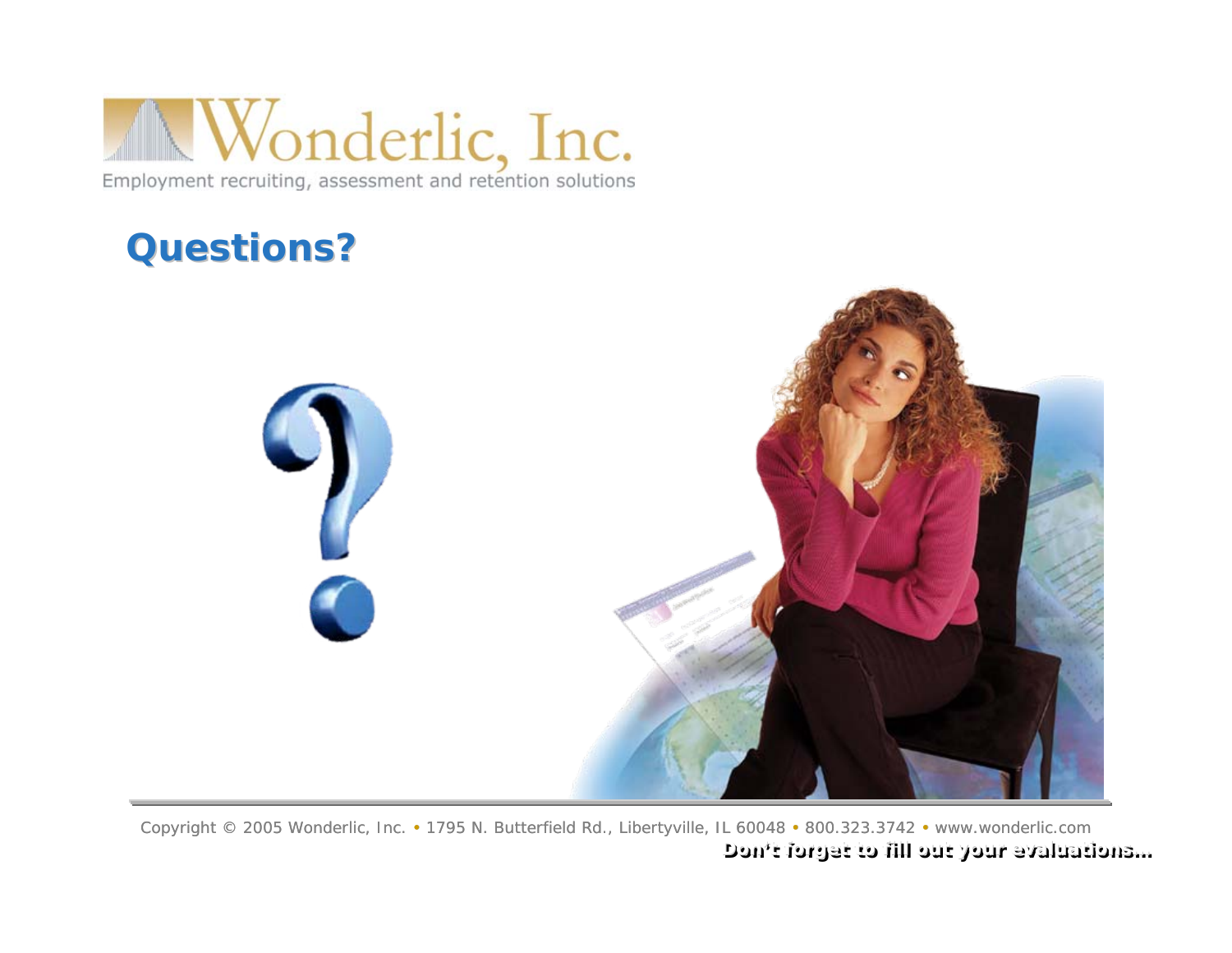

### **Questions? Questions?**



Copyright © 2005 Wonderlic, Inc. • 1795 N. Butterfield Rd., Libertyville, IL 60048 • 800.323.3742 • www.wonderlic.com **Don Don't forget to fill 't forget to fill out your evaluations out your evaluations……**